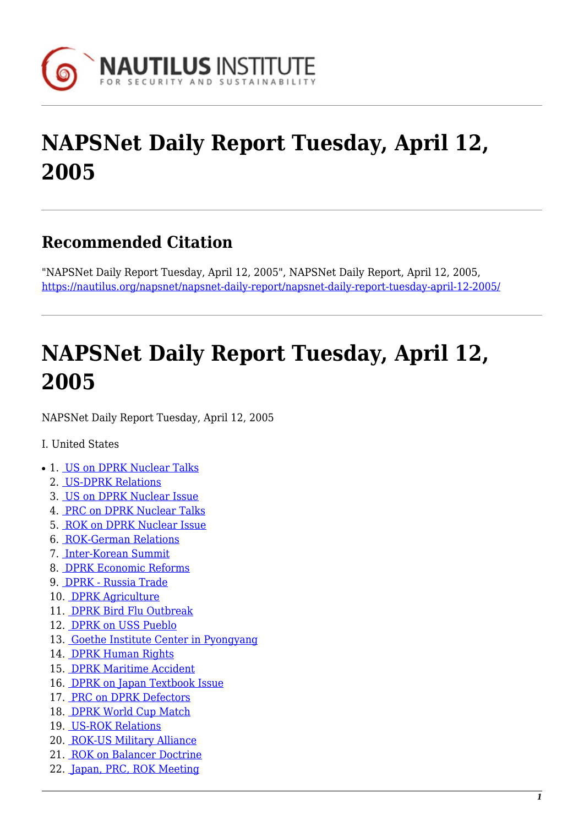

# **NAPSNet Daily Report Tuesday, April 12, 2005**

### **Recommended Citation**

"NAPSNet Daily Report Tuesday, April 12, 2005", NAPSNet Daily Report, April 12, 2005, <https://nautilus.org/napsnet/napsnet-daily-report/napsnet-daily-report-tuesday-april-12-2005/>

# **NAPSNet Daily Report Tuesday, April 12, 2005**

<span id="page-0-0"></span>NAPSNet Daily Report Tuesday, April 12, 2005

#### I. United States

- 1. [US on DPRK Nuclear Talks](#page-1-0)
	- 2. [US-DPRK Relations](#page-1-1)
	- 3. [US on DPRK Nuclear Issue](#page-1-2)
	- 4. [PRC on DPRK Nuclear Talks](#page-2-0)
	- 5. [ROK on DPRK Nuclear Issue](#page-2-1)
	- 6. [ROK-German Relations](#page-2-2)
	- 7. [Inter-Korean Summit](#page-3-0)
	- 8. [DPRK Economic Reforms](#page-3-1)
	- 9. [DPRK Russia Trade](#page-3-2)
	- 10. [DPRK Agriculture](#page-3-3)
	- 11. [DPRK Bird Flu Outbreak](#page-4-0)
	- 12. [DPRK on USS Pueblo](#page-4-1)
	- 13. [Goethe Institute Center in Pyongyang](#page-4-2)
	- 14. [DPRK Human Rights](#page-4-3)
	- 15. [DPRK Maritime Accident](#page-5-0)
	- 16. [DPRK on Japan Textbook Issue](#page-5-1)
	- 17. [PRC on DPRK Defectors](#page-5-2)
	- 18. [DPRK World Cup Match](#page-5-3)
	- 19. [US-ROK Relations](#page-5-4)
	- 20. [ROK-US Military Alliance](#page-6-0)
	- 21. [ROK on Balancer Doctrine](#page-6-1)
	- 22. [Japan, PRC, ROK Meeting](#page-6-2)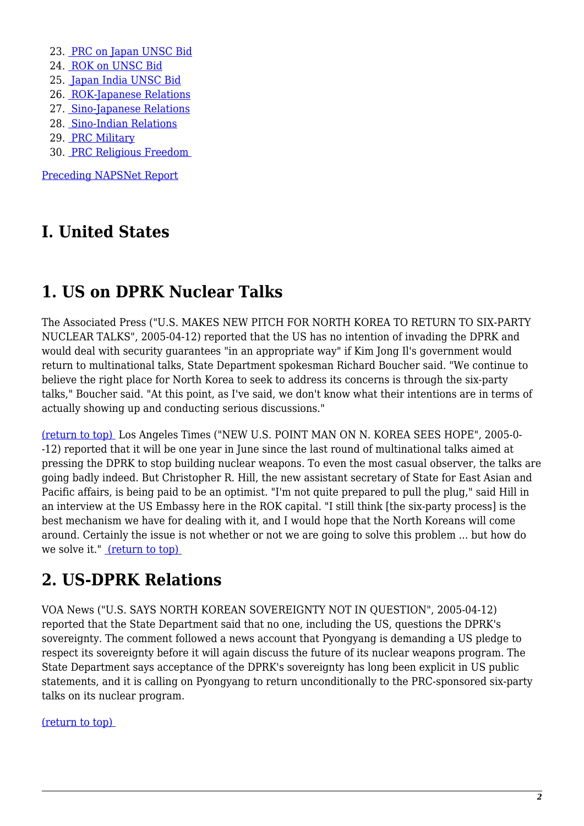- 23. [PRC on Japan UNSC Bid](#page-7-0)
- 24. [ROK on UNSC Bid](#page-7-1)
- 25. [Japan India UNSC Bid](#page-7-2)
- 26. [ROK-Japanese Relations](#page-7-3)
- 27. [Sino-Japanese Relations](#page-7-4)
- 28. [Sino-Indian Relations](#page-8-0)
- 29. [PRC Military](#page-8-1)
- 30. [PRC Religious Freedom](#page-8-2)

[Preceding NAPSNet Report](https://nautilus.org/mailing-lists/napsnet/dr/2005-2/napsnet-daily-report-monday-april-11-2005/)

### **I. United States**

### <span id="page-1-0"></span>**1. US on DPRK Nuclear Talks**

The Associated Press ("U.S. MAKES NEW PITCH FOR NORTH KOREA TO RETURN TO SIX-PARTY NUCLEAR TALKS", 2005-04-12) reported that the US has no intention of invading the DPRK and would deal with security guarantees "in an appropriate way" if Kim Jong Il's government would return to multinational talks, State Department spokesman Richard Boucher said. "We continue to believe the right place for North Korea to seek to address its concerns is through the six-party talks," Boucher said. "At this point, as I've said, we don't know what their intentions are in terms of actually showing up and conducting serious discussions."

[\(return to top\)](#page-0-0) Los Angeles Times ("NEW U.S. POINT MAN ON N. KOREA SEES HOPE", 2005-0- -12) reported that it will be one year in June since the last round of multinational talks aimed at pressing the DPRK to stop building nuclear weapons. To even the most casual observer, the talks are going badly indeed. But Christopher R. Hill, the new assistant secretary of State for East Asian and Pacific affairs, is being paid to be an optimist. "I'm not quite prepared to pull the plug," said Hill in an interview at the US Embassy here in the ROK capital. "I still think [the six-party process] is the best mechanism we have for dealing with it, and I would hope that the North Koreans will come around. Certainly the issue is not whether or not we are going to solve this problem ... but how do we solve it." [\(return to top\)](#page-0-0) 

# <span id="page-1-1"></span>**2. US-DPRK Relations**

VOA News ("U.S. SAYS NORTH KOREAN SOVEREIGNTY NOT IN QUESTION", 2005-04-12) reported that the State Department said that no one, including the US, questions the DPRK's sovereignty. The comment followed a news account that Pyongyang is demanding a US pledge to respect its sovereignty before it will again discuss the future of its nuclear weapons program. The State Department says acceptance of the DPRK's sovereignty has long been explicit in US public statements, and it is calling on Pyongyang to return unconditionally to the PRC-sponsored six-party talks on its nuclear program.

#### <span id="page-1-2"></span>[\(return to top\)](#page-0-0)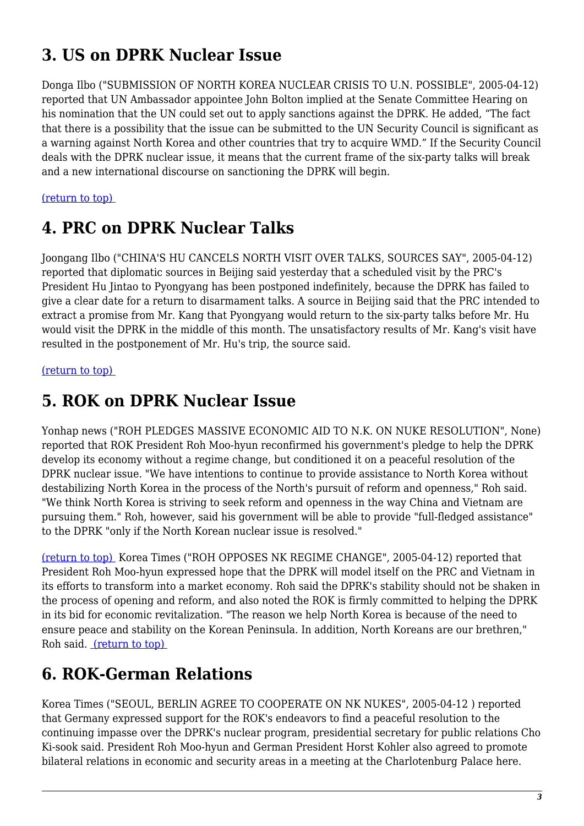# **3. US on DPRK Nuclear Issue**

Donga Ilbo ("SUBMISSION OF NORTH KOREA NUCLEAR CRISIS TO U.N. POSSIBLE", 2005-04-12) reported that UN Ambassador appointee John Bolton implied at the Senate Committee Hearing on his nomination that the UN could set out to apply sanctions against the DPRK. He added, "The fact that there is a possibility that the issue can be submitted to the UN Security Council is significant as a warning against North Korea and other countries that try to acquire WMD." If the Security Council deals with the DPRK nuclear issue, it means that the current frame of the six-party talks will break and a new international discourse on sanctioning the DPRK will begin.

#### <span id="page-2-0"></span>[\(return to top\)](#page-0-0)

### **4. PRC on DPRK Nuclear Talks**

Joongang Ilbo ("CHINA'S HU CANCELS NORTH VISIT OVER TALKS, SOURCES SAY", 2005-04-12) reported that diplomatic sources in Beijing said yesterday that a scheduled visit by the PRC's President Hu Jintao to Pyongyang has been postponed indefinitely, because the DPRK has failed to give a clear date for a return to disarmament talks. A source in Beijing said that the PRC intended to extract a promise from Mr. Kang that Pyongyang would return to the six-party talks before Mr. Hu would visit the DPRK in the middle of this month. The unsatisfactory results of Mr. Kang's visit have resulted in the postponement of Mr. Hu's trip, the source said.

#### <span id="page-2-1"></span>[\(return to top\)](#page-0-0)

### **5. ROK on DPRK Nuclear Issue**

Yonhap news ("ROH PLEDGES MASSIVE ECONOMIC AID TO N.K. ON NUKE RESOLUTION", None) reported that ROK President Roh Moo-hyun reconfirmed his government's pledge to help the DPRK develop its economy without a regime change, but conditioned it on a peaceful resolution of the DPRK nuclear issue. "We have intentions to continue to provide assistance to North Korea without destabilizing North Korea in the process of the North's pursuit of reform and openness," Roh said. "We think North Korea is striving to seek reform and openness in the way China and Vietnam are pursuing them." Roh, however, said his government will be able to provide "full-fledged assistance" to the DPRK "only if the North Korean nuclear issue is resolved."

[\(return to top\)](#page-0-0) Korea Times ("ROH OPPOSES NK REGIME CHANGE", 2005-04-12) reported that President Roh Moo-hyun expressed hope that the DPRK will model itself on the PRC and Vietnam in its efforts to transform into a market economy. Roh said the DPRK's stability should not be shaken in the process of opening and reform, and also noted the ROK is firmly committed to helping the DPRK in its bid for economic revitalization. "The reason we help North Korea is because of the need to ensure peace and stability on the Korean Peninsula. In addition, North Koreans are our brethren," Roh said. [\(return to top\)](#page-0-0) 

### <span id="page-2-2"></span>**6. ROK-German Relations**

Korea Times ("SEOUL, BERLIN AGREE TO COOPERATE ON NK NUKES", 2005-04-12 ) reported that Germany expressed support for the ROK's endeavors to find a peaceful resolution to the continuing impasse over the DPRK's nuclear program, presidential secretary for public relations Cho Ki-sook said. President Roh Moo-hyun and German President Horst Kohler also agreed to promote bilateral relations in economic and security areas in a meeting at the Charlotenburg Palace here.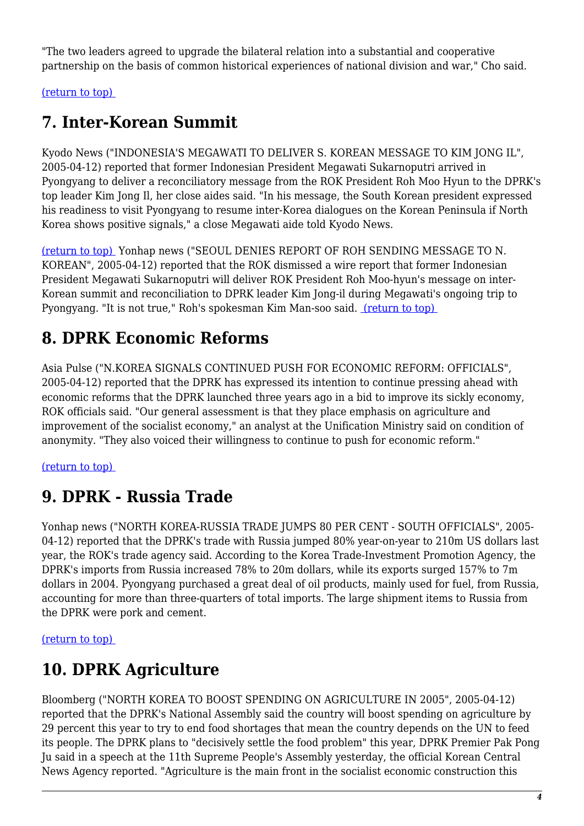"The two leaders agreed to upgrade the bilateral relation into a substantial and cooperative partnership on the basis of common historical experiences of national division and war," Cho said.

<span id="page-3-0"></span>[\(return to top\)](#page-0-0) 

### **7. Inter-Korean Summit**

Kyodo News ("INDONESIA'S MEGAWATI TO DELIVER S. KOREAN MESSAGE TO KIM JONG IL", 2005-04-12) reported that former Indonesian President Megawati Sukarnoputri arrived in Pyongyang to deliver a reconciliatory message from the ROK President Roh Moo Hyun to the DPRK's top leader Kim Jong Il, her close aides said. "In his message, the South Korean president expressed his readiness to visit Pyongyang to resume inter-Korea dialogues on the Korean Peninsula if North Korea shows positive signals," a close Megawati aide told Kyodo News.

[\(return to top\)](#page-0-0) Yonhap news ("SEOUL DENIES REPORT OF ROH SENDING MESSAGE TO N. KOREAN", 2005-04-12) reported that the ROK dismissed a wire report that former Indonesian President Megawati Sukarnoputri will deliver ROK President Roh Moo-hyun's message on inter-Korean summit and reconciliation to DPRK leader Kim Jong-il during Megawati's ongoing trip to Pyongyang. "It is not true," Roh's spokesman Kim Man-soo said. [\(return to top\)](#page-0-0) 

# <span id="page-3-1"></span>**8. DPRK Economic Reforms**

Asia Pulse ("N.KOREA SIGNALS CONTINUED PUSH FOR ECONOMIC REFORM: OFFICIALS", 2005-04-12) reported that the DPRK has expressed its intention to continue pressing ahead with economic reforms that the DPRK launched three years ago in a bid to improve its sickly economy, ROK officials said. "Our general assessment is that they place emphasis on agriculture and improvement of the socialist economy," an analyst at the Unification Ministry said on condition of anonymity. "They also voiced their willingness to continue to push for economic reform."

#### <span id="page-3-2"></span>[\(return to top\)](#page-0-0)

### **9. DPRK - Russia Trade**

Yonhap news ("NORTH KOREA-RUSSIA TRADE JUMPS 80 PER CENT - SOUTH OFFICIALS", 2005- 04-12) reported that the DPRK's trade with Russia jumped 80% year-on-year to 210m US dollars last year, the ROK's trade agency said. According to the Korea Trade-Investment Promotion Agency, the DPRK's imports from Russia increased 78% to 20m dollars, while its exports surged 157% to 7m dollars in 2004. Pyongyang purchased a great deal of oil products, mainly used for fuel, from Russia, accounting for more than three-quarters of total imports. The large shipment items to Russia from the DPRK were pork and cement.

#### <span id="page-3-3"></span>[\(return to top\)](#page-0-0)

# **10. DPRK Agriculture**

Bloomberg ("NORTH KOREA TO BOOST SPENDING ON AGRICULTURE IN 2005", 2005-04-12) reported that the DPRK's National Assembly said the country will boost spending on agriculture by 29 percent this year to try to end food shortages that mean the country depends on the UN to feed its people. The DPRK plans to "decisively settle the food problem" this year, DPRK Premier Pak Pong Ju said in a speech at the 11th Supreme People's Assembly yesterday, the official Korean Central News Agency reported. "Agriculture is the main front in the socialist economic construction this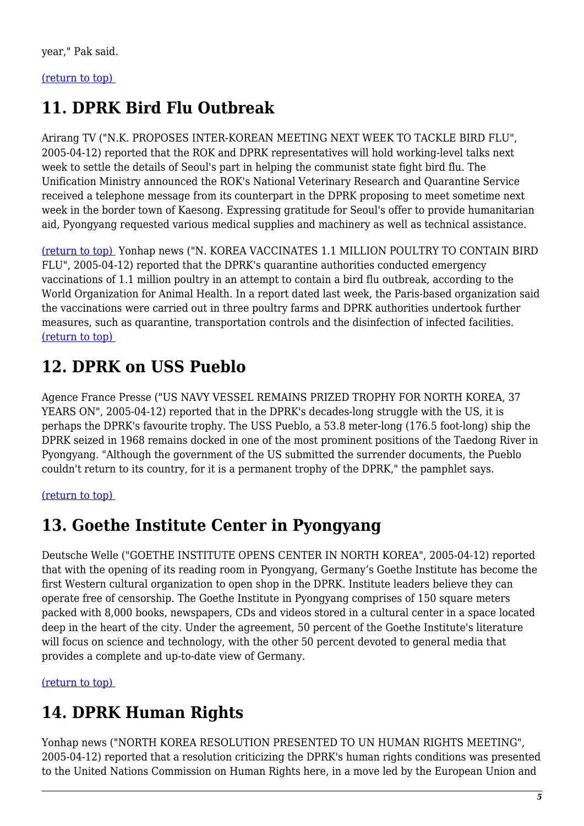#### <span id="page-4-0"></span>[\(return to top\)](#page-0-0)

# **11. DPRK Bird Flu Outbreak**

Arirang TV ("N.K. PROPOSES INTER-KOREAN MEETING NEXT WEEK TO TACKLE BIRD FLU", 2005-04-12) reported that the ROK and DPRK representatives will hold working-level talks next week to settle the details of Seoul's part in helping the communist state fight bird flu. The Unification Ministry announced the ROK's National Veterinary Research and Quarantine Service received a telephone message from its counterpart in the DPRK proposing to meet sometime next week in the border town of Kaesong. Expressing gratitude for Seoul's offer to provide humanitarian aid, Pyongyang requested various medical supplies and machinery as well as technical assistance.

[\(return to top\)](#page-0-0) Yonhap news ("N. KOREA VACCINATES 1.1 MILLION POULTRY TO CONTAIN BIRD FLU", 2005-04-12) reported that the DPRK's quarantine authorities conducted emergency vaccinations of 1.1 million poultry in an attempt to contain a bird flu outbreak, according to the World Organization for Animal Health. In a report dated last week, the Paris-based organization said the vaccinations were carried out in three poultry farms and DPRK authorities undertook further measures, such as quarantine, transportation controls and the disinfection of infected facilities. [\(return to top\)](#page-0-0) 

# <span id="page-4-1"></span>**12. DPRK on USS Pueblo**

Agence France Presse ("US NAVY VESSEL REMAINS PRIZED TROPHY FOR NORTH KOREA, 37 YEARS ON", 2005-04-12) reported that in the DPRK's decades-long struggle with the US, it is perhaps the DPRK's favourite trophy. The USS Pueblo, a 53.8 meter-long (176.5 foot-long) ship the DPRK seized in 1968 remains docked in one of the most prominent positions of the Taedong River in Pyongyang. "Although the government of the US submitted the surrender documents, the Pueblo couldn't return to its country, for it is a permanent trophy of the DPRK," the pamphlet says.

#### <span id="page-4-2"></span>[\(return to top\)](#page-0-0)

### **13. Goethe Institute Center in Pyongyang**

Deutsche Welle ("GOETHE INSTITUTE OPENS CENTER IN NORTH KOREA", 2005-04-12) reported that with the opening of its reading room in Pyongyang, Germany's Goethe Institute has become the first Western cultural organization to open shop in the DPRK. Institute leaders believe they can operate free of censorship. The Goethe Institute in Pyongyang comprises of 150 square meters packed with 8,000 books, newspapers, CDs and videos stored in a cultural center in a space located deep in the heart of the city. Under the agreement, 50 percent of the Goethe Institute's literature will focus on science and technology, with the other 50 percent devoted to general media that provides a complete and up-to-date view of Germany.

<span id="page-4-3"></span>[\(return to top\)](#page-0-0) 

# **14. DPRK Human Rights**

Yonhap news ("NORTH KOREA RESOLUTION PRESENTED TO UN HUMAN RIGHTS MEETING", 2005-04-12) reported that a resolution criticizing the DPRK's human rights conditions was presented to the United Nations Commission on Human Rights here, in a move led by the European Union and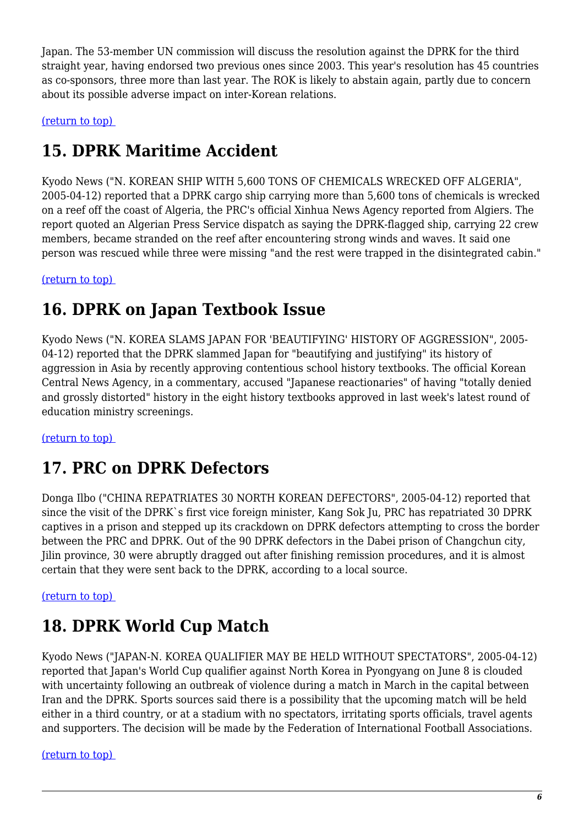Japan. The 53-member UN commission will discuss the resolution against the DPRK for the third straight year, having endorsed two previous ones since 2003. This year's resolution has 45 countries as co-sponsors, three more than last year. The ROK is likely to abstain again, partly due to concern about its possible adverse impact on inter-Korean relations.

<span id="page-5-0"></span>[\(return to top\)](#page-0-0) 

# **15. DPRK Maritime Accident**

Kyodo News ("N. KOREAN SHIP WITH 5,600 TONS OF CHEMICALS WRECKED OFF ALGERIA", 2005-04-12) reported that a DPRK cargo ship carrying more than 5,600 tons of chemicals is wrecked on a reef off the coast of Algeria, the PRC's official Xinhua News Agency reported from Algiers. The report quoted an Algerian Press Service dispatch as saying the DPRK-flagged ship, carrying 22 crew members, became stranded on the reef after encountering strong winds and waves. It said one person was rescued while three were missing "and the rest were trapped in the disintegrated cabin."

<span id="page-5-1"></span>[\(return to top\)](#page-0-0) 

### **16. DPRK on Japan Textbook Issue**

Kyodo News ("N. KOREA SLAMS JAPAN FOR 'BEAUTIFYING' HISTORY OF AGGRESSION", 2005- 04-12) reported that the DPRK slammed Japan for "beautifying and justifying" its history of aggression in Asia by recently approving contentious school history textbooks. The official Korean Central News Agency, in a commentary, accused "Japanese reactionaries" of having "totally denied and grossly distorted" history in the eight history textbooks approved in last week's latest round of education ministry screenings.

<span id="page-5-2"></span>[\(return to top\)](#page-0-0) 

# **17. PRC on DPRK Defectors**

Donga Ilbo ("CHINA REPATRIATES 30 NORTH KOREAN DEFECTORS", 2005-04-12) reported that since the visit of the DPRK`s first vice foreign minister, Kang Sok Ju, PRC has repatriated 30 DPRK captives in a prison and stepped up its crackdown on DPRK defectors attempting to cross the border between the PRC and DPRK. Out of the 90 DPRK defectors in the Dabei prison of Changchun city, Jilin province, 30 were abruptly dragged out after finishing remission procedures, and it is almost certain that they were sent back to the DPRK, according to a local source.

<span id="page-5-3"></span>[\(return to top\)](#page-0-0) 

### **18. DPRK World Cup Match**

Kyodo News ("JAPAN-N. KOREA QUALIFIER MAY BE HELD WITHOUT SPECTATORS", 2005-04-12) reported that Japan's World Cup qualifier against North Korea in Pyongyang on June 8 is clouded with uncertainty following an outbreak of violence during a match in March in the capital between Iran and the DPRK. Sports sources said there is a possibility that the upcoming match will be held either in a third country, or at a stadium with no spectators, irritating sports officials, travel agents and supporters. The decision will be made by the Federation of International Football Associations.

<span id="page-5-4"></span>[\(return to top\)](#page-0-0)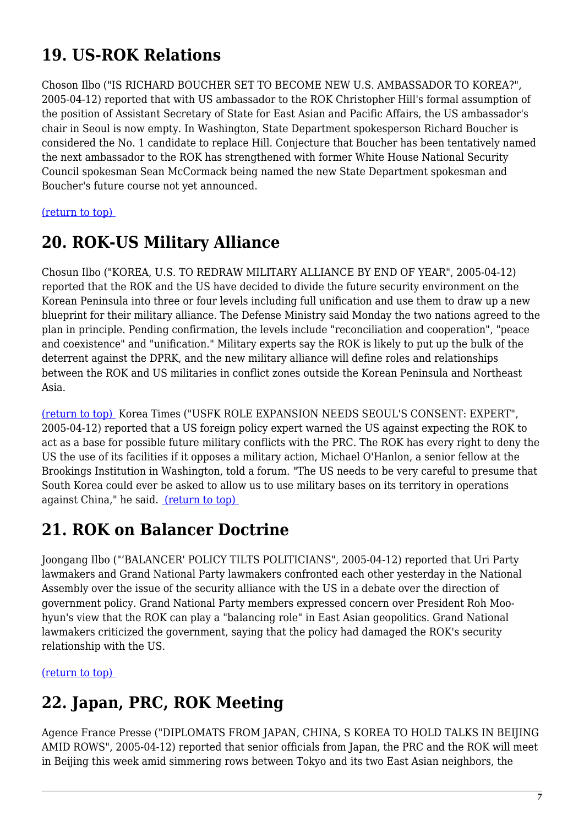# **19. US-ROK Relations**

Choson Ilbo ("IS RICHARD BOUCHER SET TO BECOME NEW U.S. AMBASSADOR TO KOREA?", 2005-04-12) reported that with US ambassador to the ROK Christopher Hill's formal assumption of the position of Assistant Secretary of State for East Asian and Pacific Affairs, the US ambassador's chair in Seoul is now empty. In Washington, State Department spokesperson Richard Boucher is considered the No. 1 candidate to replace Hill. Conjecture that Boucher has been tentatively named the next ambassador to the ROK has strengthened with former White House National Security Council spokesman Sean McCormack being named the new State Department spokesman and Boucher's future course not yet announced.

<span id="page-6-0"></span>[\(return to top\)](#page-0-0) 

### **20. ROK-US Military Alliance**

Chosun Ilbo ("KOREA, U.S. TO REDRAW MILITARY ALLIANCE BY END OF YEAR", 2005-04-12) reported that the ROK and the US have decided to divide the future security environment on the Korean Peninsula into three or four levels including full unification and use them to draw up a new blueprint for their military alliance. The Defense Ministry said Monday the two nations agreed to the plan in principle. Pending confirmation, the levels include "reconciliation and cooperation", "peace and coexistence" and "unification." Military experts say the ROK is likely to put up the bulk of the deterrent against the DPRK, and the new military alliance will define roles and relationships between the ROK and US militaries in conflict zones outside the Korean Peninsula and Northeast Asia.

[\(return to top\)](#page-0-0) Korea Times ("USFK ROLE EXPANSION NEEDS SEOUL'S CONSENT: EXPERT", 2005-04-12) reported that a US foreign policy expert warned the US against expecting the ROK to act as a base for possible future military conflicts with the PRC. The ROK has every right to deny the US the use of its facilities if it opposes a military action, Michael O'Hanlon, a senior fellow at the Brookings Institution in Washington, told a forum. "The US needs to be very careful to presume that South Korea could ever be asked to allow us to use military bases on its territory in operations against China," he said. [\(return to top\)](#page-0-0) 

# <span id="page-6-1"></span>**21. ROK on Balancer Doctrine**

Joongang Ilbo ("'BALANCER' POLICY TILTS POLITICIANS", 2005-04-12) reported that Uri Party lawmakers and Grand National Party lawmakers confronted each other yesterday in the National Assembly over the issue of the security alliance with the US in a debate over the direction of government policy. Grand National Party members expressed concern over President Roh Moohyun's view that the ROK can play a "balancing role" in East Asian geopolitics. Grand National lawmakers criticized the government, saying that the policy had damaged the ROK's security relationship with the US.

<span id="page-6-2"></span>[\(return to top\)](#page-0-0) 

# **22. Japan, PRC, ROK Meeting**

Agence France Presse ("DIPLOMATS FROM JAPAN, CHINA, S KOREA TO HOLD TALKS IN BEIJING AMID ROWS", 2005-04-12) reported that senior officials from Japan, the PRC and the ROK will meet in Beijing this week amid simmering rows between Tokyo and its two East Asian neighbors, the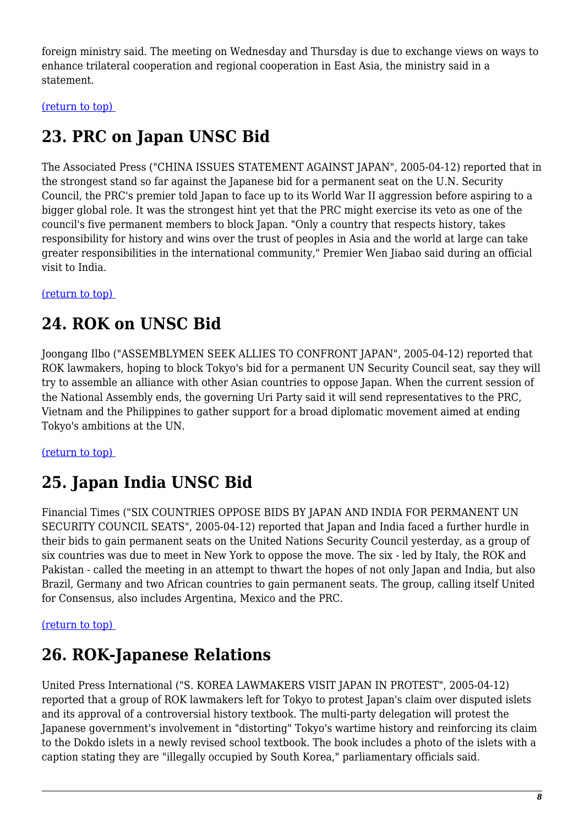foreign ministry said. The meeting on Wednesday and Thursday is due to exchange views on ways to enhance trilateral cooperation and regional cooperation in East Asia, the ministry said in a statement.

<span id="page-7-0"></span>[\(return to top\)](#page-0-0) 

# **23. PRC on Japan UNSC Bid**

The Associated Press ("CHINA ISSUES STATEMENT AGAINST JAPAN", 2005-04-12) reported that in the strongest stand so far against the Japanese bid for a permanent seat on the U.N. Security Council, the PRC's premier told Japan to face up to its World War II aggression before aspiring to a bigger global role. It was the strongest hint yet that the PRC might exercise its veto as one of the council's five permanent members to block Japan. "Only a country that respects history, takes responsibility for history and wins over the trust of peoples in Asia and the world at large can take greater responsibilities in the international community," Premier Wen Jiabao said during an official visit to India.

<span id="page-7-1"></span>[\(return to top\)](#page-0-0) 

# **24. ROK on UNSC Bid**

Joongang Ilbo ("ASSEMBLYMEN SEEK ALLIES TO CONFRONT JAPAN", 2005-04-12) reported that ROK lawmakers, hoping to block Tokyo's bid for a permanent UN Security Council seat, say they will try to assemble an alliance with other Asian countries to oppose Japan. When the current session of the National Assembly ends, the governing Uri Party said it will send representatives to the PRC, Vietnam and the Philippines to gather support for a broad diplomatic movement aimed at ending Tokyo's ambitions at the UN.

<span id="page-7-2"></span>[\(return to top\)](#page-0-0) 

# **25. Japan India UNSC Bid**

Financial Times ("SIX COUNTRIES OPPOSE BIDS BY JAPAN AND INDIA FOR PERMANENT UN SECURITY COUNCIL SEATS", 2005-04-12) reported that Japan and India faced a further hurdle in their bids to gain permanent seats on the United Nations Security Council yesterday, as a group of six countries was due to meet in New York to oppose the move. The six - led by Italy, the ROK and Pakistan - called the meeting in an attempt to thwart the hopes of not only Japan and India, but also Brazil, Germany and two African countries to gain permanent seats. The group, calling itself United for Consensus, also includes Argentina, Mexico and the PRC.

#### <span id="page-7-3"></span>[\(return to top\)](#page-0-0)

# **26. ROK-Japanese Relations**

<span id="page-7-4"></span>United Press International ("S. KOREA LAWMAKERS VISIT JAPAN IN PROTEST", 2005-04-12) reported that a group of ROK lawmakers left for Tokyo to protest Japan's claim over disputed islets and its approval of a controversial history textbook. The multi-party delegation will protest the Japanese government's involvement in "distorting" Tokyo's wartime history and reinforcing its claim to the Dokdo islets in a newly revised school textbook. The book includes a photo of the islets with a caption stating they are "illegally occupied by South Korea," parliamentary officials said.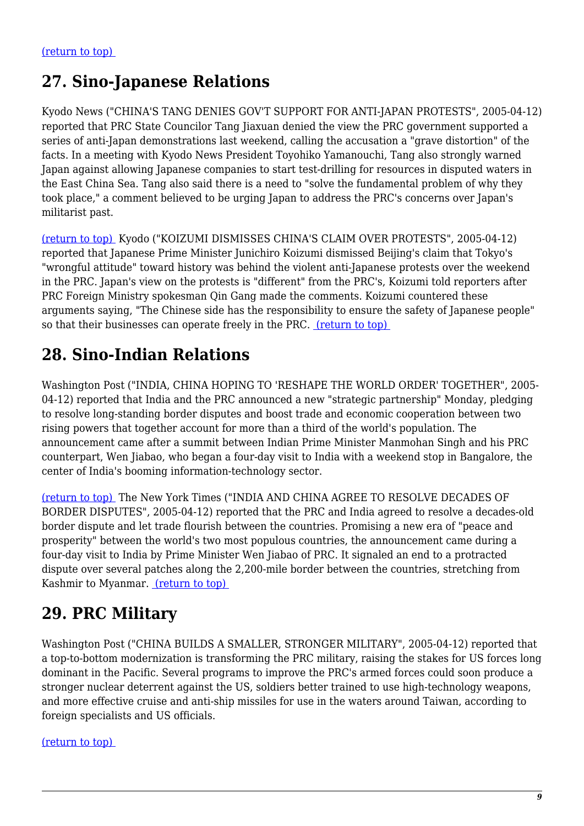### **27. Sino-Japanese Relations**

Kyodo News ("CHINA'S TANG DENIES GOV'T SUPPORT FOR ANTI-JAPAN PROTESTS", 2005-04-12) reported that PRC State Councilor Tang Jiaxuan denied the view the PRC government supported a series of anti-Japan demonstrations last weekend, calling the accusation a "grave distortion" of the facts. In a meeting with Kyodo News President Toyohiko Yamanouchi, Tang also strongly warned Japan against allowing Japanese companies to start test-drilling for resources in disputed waters in the East China Sea. Tang also said there is a need to "solve the fundamental problem of why they took place," a comment believed to be urging Japan to address the PRC's concerns over Japan's militarist past.

[\(return to top\)](#page-0-0) Kyodo ("KOIZUMI DISMISSES CHINA'S CLAIM OVER PROTESTS", 2005-04-12) reported that Japanese Prime Minister Junichiro Koizumi dismissed Beijing's claim that Tokyo's "wrongful attitude" toward history was behind the violent anti-Japanese protests over the weekend in the PRC. Japan's view on the protests is "different" from the PRC's, Koizumi told reporters after PRC Foreign Ministry spokesman Qin Gang made the comments. Koizumi countered these arguments saying, "The Chinese side has the responsibility to ensure the safety of Japanese people" so that their businesses can operate freely in the PRC. (return to top)

### <span id="page-8-0"></span>**28. Sino-Indian Relations**

Washington Post ("INDIA, CHINA HOPING TO 'RESHAPE THE WORLD ORDER' TOGETHER", 2005- 04-12) reported that India and the PRC announced a new "strategic partnership" Monday, pledging to resolve long-standing border disputes and boost trade and economic cooperation between two rising powers that together account for more than a third of the world's population. The announcement came after a summit between Indian Prime Minister Manmohan Singh and his PRC counterpart, Wen Jiabao, who began a four-day visit to India with a weekend stop in Bangalore, the center of India's booming information-technology sector.

[\(return to top\)](#page-0-0) The New York Times ("INDIA AND CHINA AGREE TO RESOLVE DECADES OF BORDER DISPUTES", 2005-04-12) reported that the PRC and India agreed to resolve a decades-old border dispute and let trade flourish between the countries. Promising a new era of "peace and prosperity" between the world's two most populous countries, the announcement came during a four-day visit to India by Prime Minister Wen Jiabao of PRC. It signaled an end to a protracted dispute over several patches along the 2,200-mile border between the countries, stretching from Kashmir to Myanmar. [\(return to top\)](#page-0-0) 

# <span id="page-8-1"></span>**29. PRC Military**

Washington Post ("CHINA BUILDS A SMALLER, STRONGER MILITARY", 2005-04-12) reported that a top-to-bottom modernization is transforming the PRC military, raising the stakes for US forces long dominant in the Pacific. Several programs to improve the PRC's armed forces could soon produce a stronger nuclear deterrent against the US, soldiers better trained to use high-technology weapons, and more effective cruise and anti-ship missiles for use in the waters around Taiwan, according to foreign specialists and US officials.

<span id="page-8-2"></span>[\(return to top\)](#page-0-0)